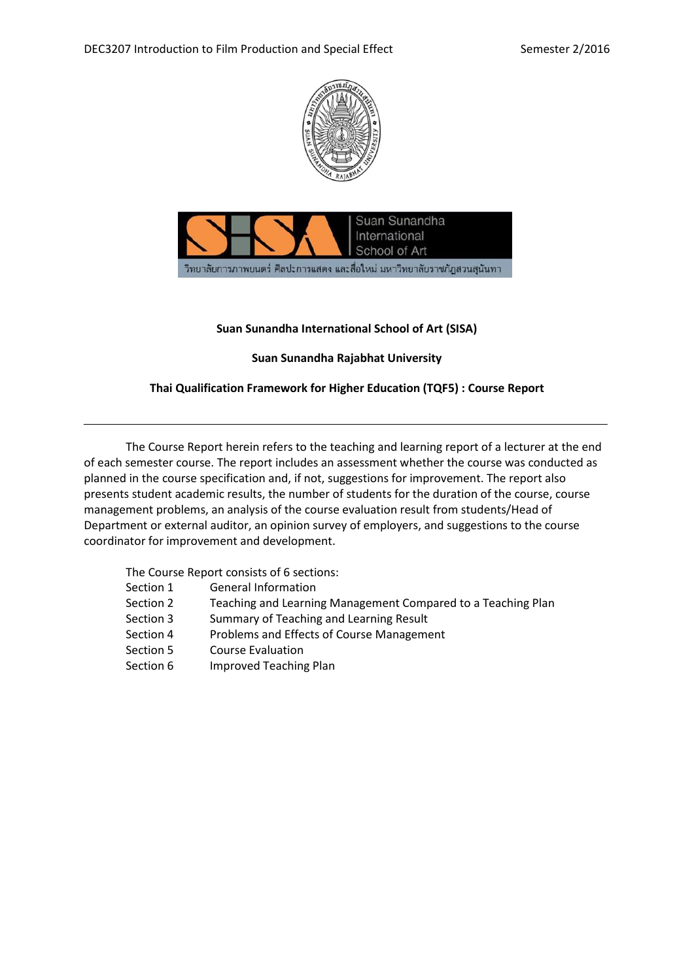



# **Suan Sunandha International School of Art (SISA)**

# **Suan Sunandha Rajabhat University**

# **Thai Qualification Framework for Higher Education (TQF5) : Course Report**

The Course Report herein refers to the teaching and learning report of a lecturer at the end of each semester course. The report includes an assessment whether the course was conducted as planned in the course specification and, if not, suggestions for improvement. The report also presents student academic results, the number of students for the duration of the course, course management problems, an analysis of the course evaluation result from students/Head of Department or external auditor, an opinion survey of employers, and suggestions to the course coordinator for improvement and development.

The Course Report consists of 6 sections:

- Section 1 General Information
- Section 2 Teaching and Learning Management Compared to a Teaching Plan
- Section 3 Summary of Teaching and Learning Result
- Section 4 Problems and Effects of Course Management
- Section 5 Course Evaluation
- Section 6 Improved Teaching Plan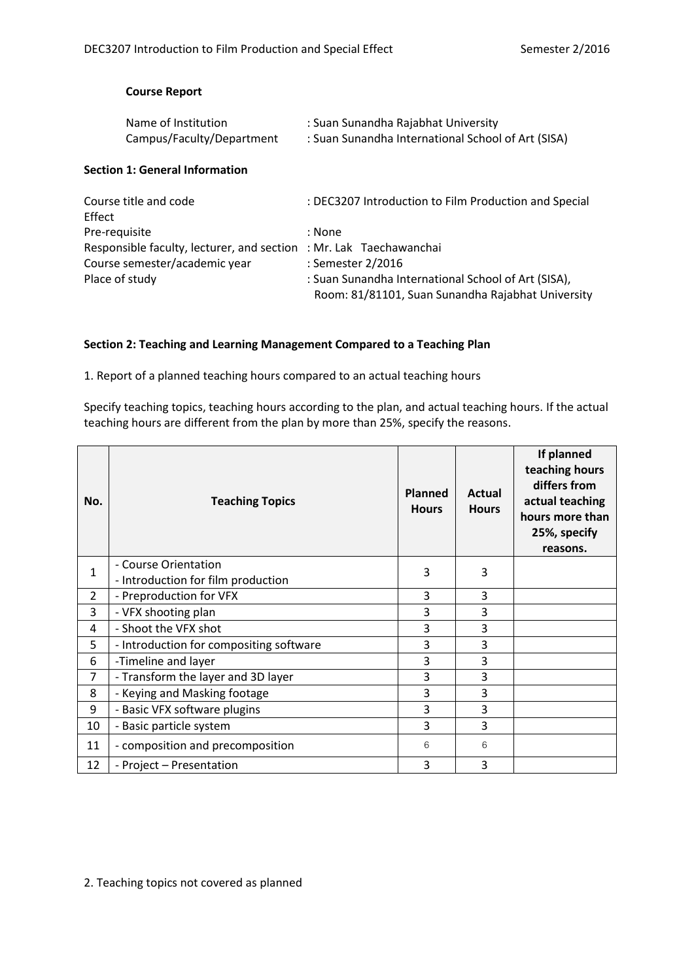### **Course Report**

| Name of Institution       | : Suan Sunandha Rajabhat University                |
|---------------------------|----------------------------------------------------|
| Campus/Faculty/Department | : Suan Sunandha International School of Art (SISA) |

#### **Section 1: General Information**

| Course title and code<br>Effect                                    | : DEC3207 Introduction to Film Production and Special                                                    |
|--------------------------------------------------------------------|----------------------------------------------------------------------------------------------------------|
| Pre-requisite                                                      | : None                                                                                                   |
| Responsible faculty, lecturer, and section : Mr. Lak Taechawanchai |                                                                                                          |
| Course semester/academic year                                      | : Semester 2/2016                                                                                        |
| Place of study                                                     | : Suan Sunandha International School of Art (SISA),<br>Room: 81/81101, Suan Sunandha Rajabhat University |

### **Section 2: Teaching and Learning Management Compared to a Teaching Plan**

1. Report of a planned teaching hours compared to an actual teaching hours

Specify teaching topics, teaching hours according to the plan, and actual teaching hours. If the actual teaching hours are different from the plan by more than 25%, specify the reasons.

| No.            | <b>Teaching Topics</b>                                     | <b>Planned</b><br><b>Hours</b> | Actual<br><b>Hours</b> | If planned<br>teaching hours<br>differs from<br>actual teaching<br>hours more than<br>25%, specify<br>reasons. |
|----------------|------------------------------------------------------------|--------------------------------|------------------------|----------------------------------------------------------------------------------------------------------------|
| 1              | - Course Orientation<br>- Introduction for film production | 3                              | 3                      |                                                                                                                |
| $\overline{2}$ | - Preproduction for VFX                                    | 3                              | 3                      |                                                                                                                |
| 3              | - VFX shooting plan                                        | 3                              | 3                      |                                                                                                                |
| 4              | - Shoot the VFX shot                                       | 3                              | 3                      |                                                                                                                |
| 5              | - Introduction for compositing software                    | 3                              | 3                      |                                                                                                                |
| 6              | -Timeline and layer                                        | 3                              | 3                      |                                                                                                                |
| $\overline{7}$ | - Transform the layer and 3D layer                         | 3                              | 3                      |                                                                                                                |
| 8              | - Keying and Masking footage                               | 3                              | 3                      |                                                                                                                |
| 9              | - Basic VFX software plugins                               | 3                              | 3                      |                                                                                                                |
| 10             | - Basic particle system                                    | 3                              | 3                      |                                                                                                                |
| 11             | - composition and precomposition                           | 6                              | 6                      |                                                                                                                |
| 12             | - Project - Presentation                                   | 3                              | 3                      |                                                                                                                |

2. Teaching topics not covered as planned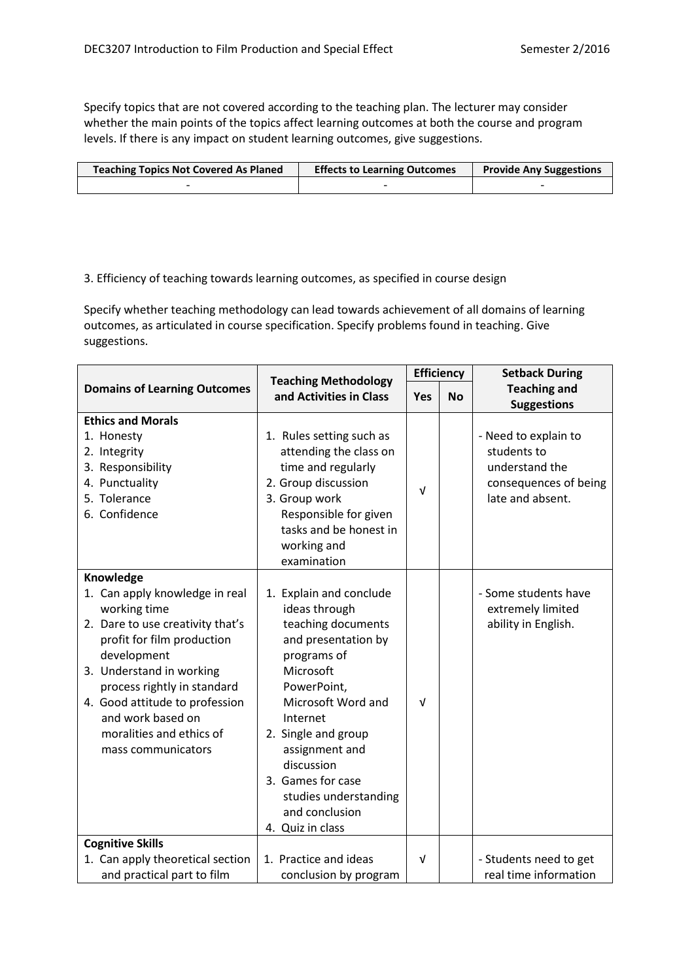Specify topics that are not covered according to the teaching plan. The lecturer may consider whether the main points of the topics affect learning outcomes at both the course and program levels. If there is any impact on student learning outcomes, give suggestions.

| <b>Teaching Topics Not Covered As Planed</b> | <b>Effects to Learning Outcomes</b> | <b>Provide Any Suggestions</b> |
|----------------------------------------------|-------------------------------------|--------------------------------|
|                                              |                                     |                                |

# 3. Efficiency of teaching towards learning outcomes, as specified in course design

Specify whether teaching methodology can lead towards achievement of all domains of learning outcomes, as articulated in course specification. Specify problems found in teaching. Give suggestions.

|                                                                                                                                                                                                                                                                                                                  | <b>Teaching Methodology</b>                                                                                                                                                                                                                                                                                   | <b>Efficiency</b> |           | <b>Setback During</b>                                                                              |
|------------------------------------------------------------------------------------------------------------------------------------------------------------------------------------------------------------------------------------------------------------------------------------------------------------------|---------------------------------------------------------------------------------------------------------------------------------------------------------------------------------------------------------------------------------------------------------------------------------------------------------------|-------------------|-----------|----------------------------------------------------------------------------------------------------|
| <b>Domains of Learning Outcomes</b>                                                                                                                                                                                                                                                                              | and Activities in Class                                                                                                                                                                                                                                                                                       |                   | <b>No</b> | <b>Teaching and</b><br><b>Suggestions</b>                                                          |
| <b>Ethics and Morals</b><br>1. Honesty<br>2. Integrity<br>3. Responsibility<br>4. Punctuality<br>5. Tolerance<br>6. Confidence                                                                                                                                                                                   | 1. Rules setting such as<br>attending the class on<br>time and regularly<br>2. Group discussion<br>3. Group work<br>Responsible for given<br>tasks and be honest in<br>working and<br>examination                                                                                                             | $\sqrt{ }$        |           | - Need to explain to<br>students to<br>understand the<br>consequences of being<br>late and absent. |
| Knowledge<br>1. Can apply knowledge in real<br>working time<br>2. Dare to use creativity that's<br>profit for film production<br>development<br>3. Understand in working<br>process rightly in standard<br>4. Good attitude to profession<br>and work based on<br>moralities and ethics of<br>mass communicators | 1. Explain and conclude<br>ideas through<br>teaching documents<br>and presentation by<br>programs of<br>Microsoft<br>PowerPoint,<br>Microsoft Word and<br>Internet<br>2. Single and group<br>assignment and<br>discussion<br>3. Games for case<br>studies understanding<br>and conclusion<br>4. Quiz in class | $\sqrt{ }$        |           | - Some students have<br>extremely limited<br>ability in English.                                   |
| <b>Cognitive Skills</b><br>1. Can apply theoretical section<br>and practical part to film                                                                                                                                                                                                                        | 1. Practice and ideas<br>conclusion by program                                                                                                                                                                                                                                                                | $\sqrt{ }$        |           | - Students need to get<br>real time information                                                    |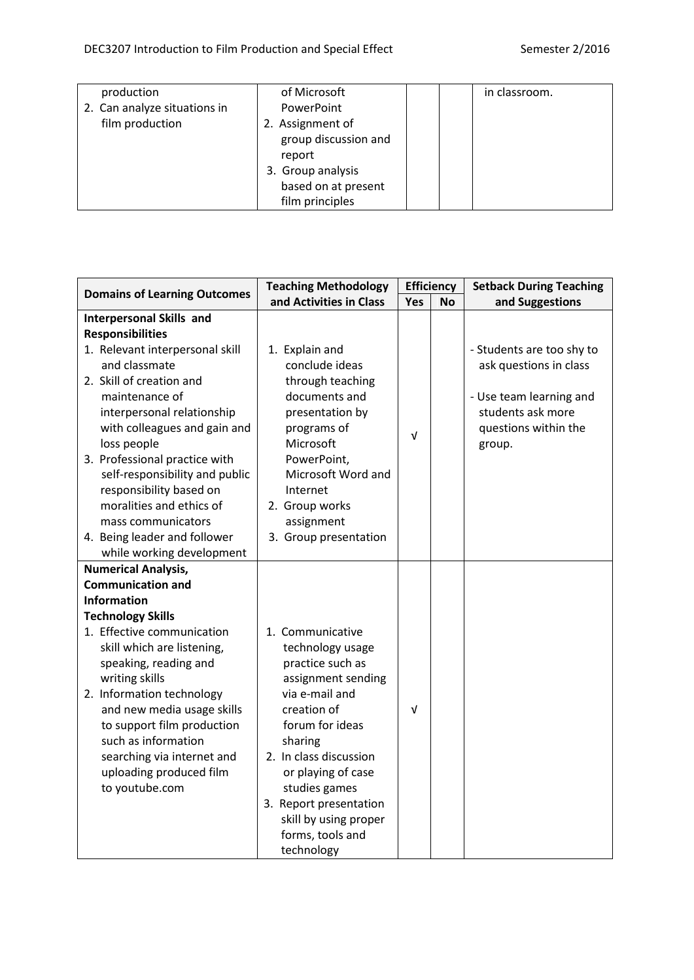| production                   | of Microsoft         | in classroom. |
|------------------------------|----------------------|---------------|
| 2. Can analyze situations in | PowerPoint           |               |
| film production              | 2. Assignment of     |               |
|                              | group discussion and |               |
|                              | report               |               |
|                              | 3. Group analysis    |               |
|                              | based on at present  |               |
|                              | film principles      |               |

| <b>Domains of Learning Outcomes</b> | <b>Teaching Methodology</b> |     | <b>Efficiency</b> | <b>Setback During Teaching</b> |
|-------------------------------------|-----------------------------|-----|-------------------|--------------------------------|
|                                     | and Activities in Class     | Yes | No                | and Suggestions                |
| <b>Interpersonal Skills and</b>     |                             |     |                   |                                |
| <b>Responsibilities</b>             |                             |     |                   |                                |
| 1. Relevant interpersonal skill     | 1. Explain and              |     |                   | - Students are too shy to      |
| and classmate                       | conclude ideas              |     |                   | ask questions in class         |
| 2. Skill of creation and            | through teaching            |     |                   |                                |
| maintenance of                      | documents and               |     |                   | - Use team learning and        |
| interpersonal relationship          | presentation by             |     |                   | students ask more              |
| with colleagues and gain and        | programs of                 | v   |                   | questions within the           |
| loss people                         | Microsoft                   |     |                   | group.                         |
| 3. Professional practice with       | PowerPoint,                 |     |                   |                                |
| self-responsibility and public      | Microsoft Word and          |     |                   |                                |
| responsibility based on             | Internet                    |     |                   |                                |
| moralities and ethics of            | 2. Group works              |     |                   |                                |
| mass communicators                  | assignment                  |     |                   |                                |
| 4. Being leader and follower        | 3. Group presentation       |     |                   |                                |
| while working development           |                             |     |                   |                                |
| <b>Numerical Analysis,</b>          |                             |     |                   |                                |
| <b>Communication and</b>            |                             |     |                   |                                |
| <b>Information</b>                  |                             |     |                   |                                |
| <b>Technology Skills</b>            |                             |     |                   |                                |
| 1. Effective communication          | 1. Communicative            |     |                   |                                |
| skill which are listening,          | technology usage            |     |                   |                                |
| speaking, reading and               | practice such as            |     |                   |                                |
| writing skills                      | assignment sending          |     |                   |                                |
| 2. Information technology           | via e-mail and              |     |                   |                                |
| and new media usage skills          | creation of                 | Λ   |                   |                                |
| to support film production          | forum for ideas             |     |                   |                                |
| such as information                 | sharing                     |     |                   |                                |
| searching via internet and          | 2. In class discussion      |     |                   |                                |
| uploading produced film             | or playing of case          |     |                   |                                |
| to youtube.com                      | studies games               |     |                   |                                |
|                                     | 3. Report presentation      |     |                   |                                |
|                                     | skill by using proper       |     |                   |                                |
|                                     | forms, tools and            |     |                   |                                |
|                                     | technology                  |     |                   |                                |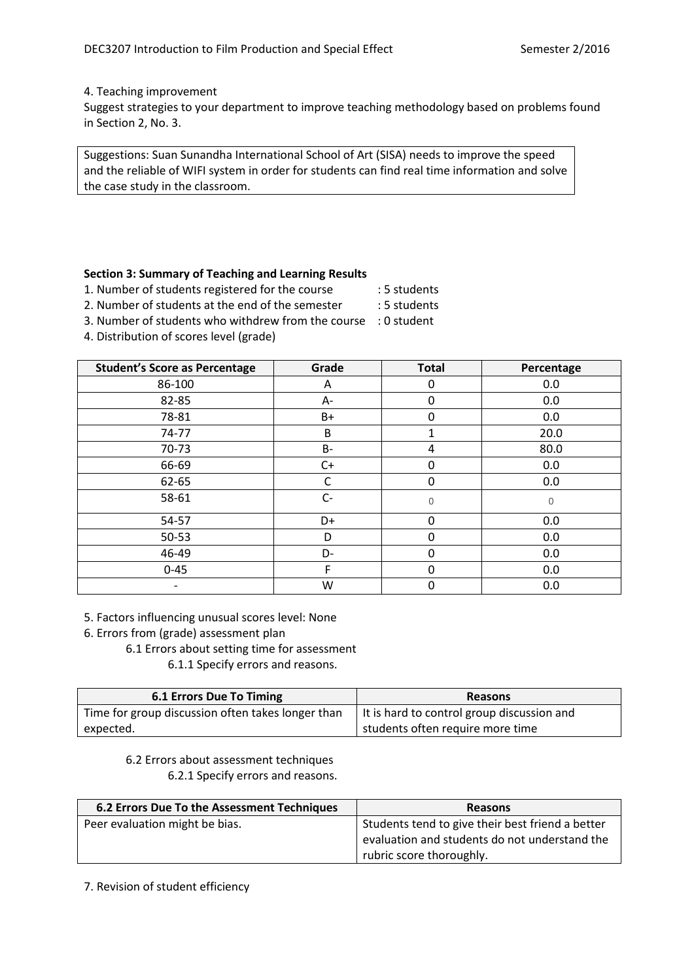#### 4. Teaching improvement

Suggest strategies to your department to improve teaching methodology based on problems found in Section 2, No. 3.

Suggestions: Suan Sunandha International School of Art (SISA) needs to improve the speed and the reliable of WIFI system in order for students can find real time information and solve the case study in the classroom.

### **Section 3: Summary of Teaching and Learning Results**

1. Number of students registered for the course : 5 students

- 2. Number of students at the end of the semester : 5 students
- 3. Number of students who withdrew from the course : 0 student
- 4. Distribution of scores level (grade)

| <b>Student's Score as Percentage</b> | Grade     | <b>Total</b> | Percentage |
|--------------------------------------|-----------|--------------|------------|
| 86-100                               | A         | 0            | 0.0        |
| 82-85                                | А-        | 0            | 0.0        |
| 78-81                                | B+        | 0            | 0.0        |
| 74-77                                | B         | 1            | 20.0       |
| 70-73                                | <b>B-</b> | 4            | 80.0       |
| 66-69                                | $C+$      | 0            | 0.0        |
| 62-65                                | C         | 0            | 0.0        |
| 58-61                                | $C-$      | $\mathbf 0$  | $\Omega$   |
| 54-57                                | D+        | 0            | 0.0        |
| 50-53                                | D         | $\mathbf{0}$ | 0.0        |
| 46-49                                | D-        | 0            | 0.0        |
| $0 - 45$                             | F         | 0            | 0.0        |
|                                      | W         | 0            | 0.0        |

5. Factors influencing unusual scores level: None

6. Errors from (grade) assessment plan

6.1 Errors about setting time for assessment

6.1.1 Specify errors and reasons.

| 6.1 Errors Due To Timing                          | <b>Reasons</b>                             |
|---------------------------------------------------|--------------------------------------------|
| Time for group discussion often takes longer than | It is hard to control group discussion and |
| expected.                                         | students often require more time           |

6.2 Errors about assessment techniques 6.2.1 Specify errors and reasons.

| 6.2 Errors Due To the Assessment Techniques | <b>Reasons</b>                                   |
|---------------------------------------------|--------------------------------------------------|
| Peer evaluation might be bias.              | Students tend to give their best friend a better |
|                                             | evaluation and students do not understand the    |
|                                             | rubric score thoroughly.                         |

7. Revision of student efficiency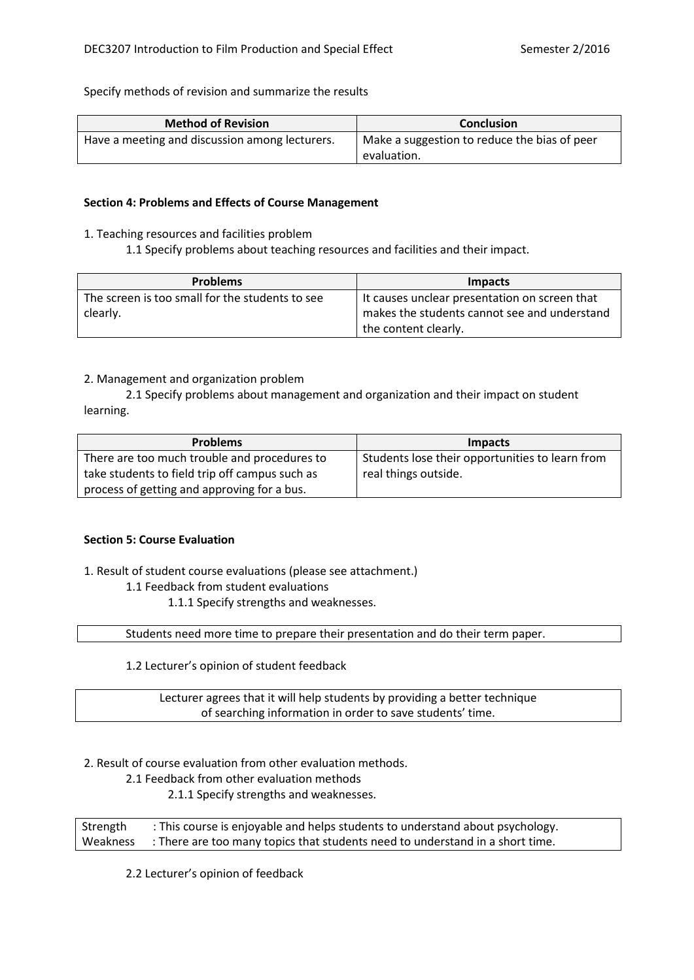Specify methods of revision and summarize the results

| <b>Method of Revision</b>                      | <b>Conclusion</b>                            |
|------------------------------------------------|----------------------------------------------|
| Have a meeting and discussion among lecturers. | Make a suggestion to reduce the bias of peer |
|                                                | evaluation.                                  |

#### **Section 4: Problems and Effects of Course Management**

- 1. Teaching resources and facilities problem
	- 1.1 Specify problems about teaching resources and facilities and their impact.

| <b>Problems</b>                                 | <b>Impacts</b>                                |
|-------------------------------------------------|-----------------------------------------------|
| The screen is too small for the students to see | It causes unclear presentation on screen that |
| clearly.                                        | makes the students cannot see and understand  |
|                                                 | the content clearly.                          |

# 2. Management and organization problem

2.1 Specify problems about management and organization and their impact on student learning.

| <b>Problems</b>                                | <b>Impacts</b>                                  |
|------------------------------------------------|-------------------------------------------------|
| There are too much trouble and procedures to   | Students lose their opportunities to learn from |
| take students to field trip off campus such as | real things outside.                            |
| process of getting and approving for a bus.    |                                                 |

### **Section 5: Course Evaluation**

1. Result of student course evaluations (please see attachment.)

### 1.1 Feedback from student evaluations

1.1.1 Specify strengths and weaknesses.

Students need more time to prepare their presentation and do their term paper.

1.2 Lecturer's opinion of student feedback

Lecturer agrees that it will help students by providing a better technique of searching information in order to save students' time.

2. Result of course evaluation from other evaluation methods.

2.1 Feedback from other evaluation methods

2.1.1 Specify strengths and weaknesses.

Strength : This course is enjoyable and helps students to understand about psychology. Weakness : There are too many topics that students need to understand in a short time.

2.2 Lecturer's opinion of feedback